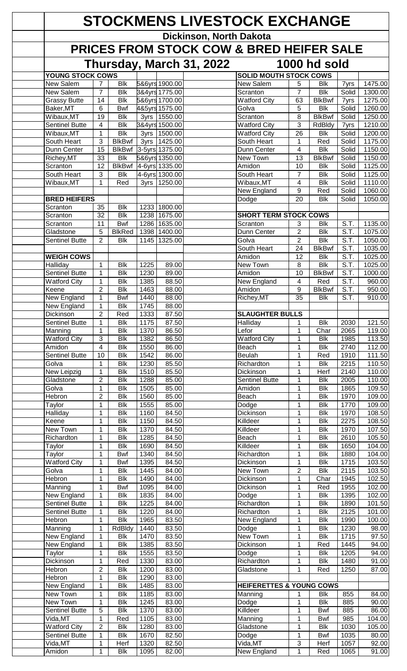| <b>STOCKMENS LIVESTOCK EXCHANGE</b>      |                                |                                            |              |                                  |                         |                                          |                                |                                            |                   |                    |  |
|------------------------------------------|--------------------------------|--------------------------------------------|--------------|----------------------------------|-------------------------|------------------------------------------|--------------------------------|--------------------------------------------|-------------------|--------------------|--|
|                                          |                                |                                            |              |                                  | Dickinson, North Dakota |                                          |                                |                                            |                   |                    |  |
|                                          |                                |                                            |              |                                  |                         | PRICES FROM STOCK COW & BRED HEIFER SALE |                                |                                            |                   |                    |  |
| Thursday, March 31, 2022<br>1000 hd sold |                                |                                            |              |                                  |                         |                                          |                                |                                            |                   |                    |  |
| <b>YOUNG STOCK COWS</b>                  |                                |                                            |              |                                  |                         | <b>SOLID MOUTH STOCK COWS</b>            |                                |                                            |                   |                    |  |
| New Salem                                | $\overline{7}$                 | <b>Blk</b>                                 |              | 5&6yrs 1900.00                   |                         | New Salem                                | 5                              | <b>Blk</b>                                 | 7yrs              | 1475.00            |  |
| New Salem<br><b>Grassy Butte</b>         | $\overline{7}$<br>14           | <b>Blk</b><br><b>Blk</b>                   |              | 3&4yrs 1775.00<br>5&6yrs 1700.00 |                         | Scranton<br><b>Watford City</b>          | $\overline{7}$<br>63           | <b>Blk</b><br><b>BlkBwf</b>                | Solid<br>7yrs     | 1300.00<br>1275.00 |  |
| Baker, MT                                | $6\phantom{1}6$                | <b>Bwf</b>                                 |              | 4&5yrs 1575.00                   |                         | Golva                                    | 5                              | <b>Blk</b>                                 | Solid             | 1260.00            |  |
| Wibaux, MT                               | 19                             | <b>Blk</b>                                 | 3yrs         | 1550.00                          |                         | Scranton                                 | 8                              | <b>BlkBwf</b>                              | Solid             | 1250.00            |  |
| <b>Sentinel Butte</b>                    | 4<br>$\mathbf{1}$              | <b>Blk</b><br><b>Blk</b>                   |              | 3&4yrs 1500.00<br>3yrs 1500.00   |                         | Watford City                             | 3<br>$\overline{26}$           | <b>RdBldy</b><br><b>Blk</b>                | 7yrs              | 1210.00<br>1200.00 |  |
| Wibaux, MT<br>South Heart                | 3                              | <b>BlkBwf</b>                              |              | 3yrs 1425.00                     |                         | <b>Watford City</b><br>South Heart       | 1                              | Red                                        | Solid<br>Solid    | 1175.00            |  |
| Dunn Center                              | 15                             | <b>BlkBwf</b>                              |              | 3-5yrs 1375.00                   |                         | Dunn Center                              | 4                              | <b>Blk</b>                                 | Solid             | 1150.00            |  |
| Richey, MT                               | 33                             | <b>Blk</b>                                 |              | 5&6yrs 1350.00                   |                         | New Town                                 | 13                             | <b>BlkBwf</b>                              | Solid             | 1150.00            |  |
| Scranton<br>South Heart                  | 12<br>3                        | <b>BlkBwf</b><br>Blk                       |              | 4-6yrs 1335.00<br>4-6yrs 1300.00 |                         | Amidon<br>South Heart                    | 10<br>7                        | <b>Blk</b><br><b>Blk</b>                   | Solid<br>Solid    | 1125.00<br>1125.00 |  |
| Wibaux, MT                               | 1                              | Red                                        | 3yrs         | 1250.00                          |                         | Wibaux, MT                               | 4                              | <b>Blk</b>                                 | Solid             | 1110.00            |  |
|                                          |                                |                                            |              |                                  |                         | New England                              | 9                              | Red                                        | Solid             | 1060.00            |  |
| <b>BRED HEIFERS</b>                      |                                |                                            |              |                                  |                         | Dodge                                    | 20                             | <b>Blk</b>                                 | Solid             | 1050.00            |  |
| Scranton<br>Scranton                     | 35<br>32                       | <b>Blk</b><br><b>Blk</b>                   | 1233<br>1238 | 1800.00<br>1675.00               |                         | <b>SHORT TERM STOCK COWS</b>             |                                |                                            |                   |                    |  |
| Scranton                                 | 11                             | <b>Bwf</b>                                 | 1286         | 1635.00                          |                         | Scranton                                 | 3                              | <b>Blk</b>                                 | S.T.              | 1135.00            |  |
| Gladstone                                | 5                              | <b>BlkRed</b>                              | 1398         | 1400.00                          |                         | Dunn Center                              | $\overline{2}$                 | <b>Blk</b>                                 | S.T.              | 1075.00            |  |
| <b>Sentinel Butte</b>                    | $\overline{2}$                 | <b>Blk</b>                                 | 1145         | 1325.00                          |                         | Golva                                    | $\overline{2}$                 | <b>Blk</b>                                 | $\overline{S.T.}$ | 1050.00            |  |
| <b>WEIGH COWS</b>                        |                                |                                            |              |                                  |                         | South Heart<br>Amidon                    | 24<br>12                       | <b>BlkBwf</b><br><b>Blk</b>                | S.T.<br>S.T.      | 1035.00<br>1025.00 |  |
| Halliday                                 | $\mathbf{1}$                   | <b>Blk</b>                                 | 1225         | 89.00                            |                         | New Town                                 | 8                              | <b>Blk</b>                                 | S.T.              | 1025.00            |  |
| Sentinel Butte                           | $\mathbf 1$                    | <b>Blk</b>                                 | 1230         | 89.00                            |                         | Amidon                                   | 10                             | <b>BlkBwf</b>                              | S.T.              | 1000.00            |  |
| <b>Watford City</b>                      | 1                              | <b>Blk</b>                                 | 1385         | 88.50                            |                         | New England                              | 4                              | Red                                        | S.T.              | 960.00             |  |
| Keene<br>New England                     | $\overline{2}$<br>1            | <b>Blk</b><br><b>Bwf</b>                   | 1463<br>1440 | 88.00<br>88.00                   |                         | Amidon<br>Richey, MT                     | 9<br>$\overline{35}$           | <b>BlkBwf</b><br>$\overline{\mathsf{Blk}}$ | S.T.<br>S.T.      | 950.00<br>910.00   |  |
| New England                              | 1                              | <b>Blk</b>                                 | 1745         | 88.00                            |                         |                                          |                                |                                            |                   |                    |  |
| <b>Dickinson</b>                         | $\overline{2}$                 | Red                                        | 1333         | 87.50                            |                         | <b>SLAUGHTER BULLS</b>                   |                                |                                            |                   |                    |  |
| <b>Sentinel Butte</b>                    | 1                              | <b>Blk</b>                                 | 1175         | 87.50                            |                         | Halliday                                 | 1                              | <b>Blk</b>                                 | 2030              | 121.50             |  |
| Manning<br><b>Watford City</b>           | 1<br>3                         | <b>Blk</b><br><b>Blk</b>                   | 1370<br>1382 | 86.50<br>86.50                   |                         | Lefor<br><b>Watford City</b>             | 1<br>1                         | Char<br>$\overline{\mathsf{Blk}}$          | 2065<br>1985      | 119.00<br>113.50   |  |
| Amidon                                   | $\overline{\mathbf{4}}$        | <b>Blk</b>                                 | 1550         | 86.00                            |                         | Beach                                    | 1                              | <b>Blk</b>                                 | 2740              | 112.00             |  |
| <b>Sentinel Butte</b>                    | 10                             | <b>Blk</b>                                 | 1542         | 86.00                            |                         | <b>Beulah</b>                            | 1                              | Red                                        | 1910              | 111.50             |  |
| Golva                                    | $\mathbf{1}$                   | <b>Blk</b>                                 | 1230         | 85.50                            |                         | Richardton                               | 1                              | <b>Blk</b>                                 | 2215              | 110.50             |  |
| <b>New Leipzig</b><br>Gladstone          | $\mathbf{1}$<br>$\overline{2}$ | Bik<br><b>Blk</b>                          | 1510<br>1288 | 85.50<br>85.00                   |                         | Dickinson<br><b>Sentinel Butte</b>       | 1<br>1                         | Herf<br><b>Blk</b>                         | 2140<br>2005      | 110.00<br>110.00   |  |
| Golva                                    | 1                              | <b>Blk</b>                                 | 1505         | 85.00                            |                         | Amidon                                   | $\mathbf{1}$                   | <b>Blk</b>                                 | 1865              | 109.50             |  |
| Hebron                                   | $\overline{2}$                 | <b>Blk</b>                                 | 1560         | 85.00                            |                         | Beach                                    | 1                              | <b>Blk</b>                                 | 1970              | 109.00             |  |
| Taylor                                   | $\mathbf{1}$                   | $\overline{\mathsf{Blk}}$                  | 1555         | 85.00                            |                         | Dodge                                    | 1                              | $\overline{\mathsf{Blk}}$                  | 1770              | 109.00             |  |
| Halliday<br>Keene                        | 1<br>$\mathbf 1$               | <b>Blk</b><br><b>Blk</b>                   | 1160<br>1150 | 84.50<br>84.50                   |                         | Dickinson<br>Killdeer                    | 1<br>$\mathbf{1}$              | <b>Blk</b><br><b>Blk</b>                   | 1970<br>2275      | 108.50<br>108.50   |  |
| New Town                                 | 1                              | <b>Blk</b>                                 | 1370         | 84.50                            |                         | Killdeer                                 | 1                              | <b>Blk</b>                                 | 1970              | 107.50             |  |
| Richardton                               | 1                              | <b>Blk</b>                                 | 1285         | 84.50                            |                         | Beach                                    | $\mathbf{1}$                   | <b>Blk</b>                                 | 2610              | 105.50             |  |
| Taylor                                   | 1                              | <b>Blk</b>                                 | 1690         | 84.50                            |                         | Killdeer                                 | 1                              | <b>Blk</b>                                 | 1650              | 104.00             |  |
| Taylor<br><b>Watford City</b>            | 1<br>1                         | <b>Bwf</b><br><b>Bwf</b>                   | 1340<br>1395 | 84.50<br>84.50                   |                         | Richardton<br>Dickinson                  | 1<br>1                         | <b>Blk</b><br><b>Blk</b>                   | 1880<br>1715      | 104.00<br>103.50   |  |
| Golva                                    | $\mathbf{1}$                   | <b>Blk</b>                                 | 1445         | 84.00                            |                         | New Town                                 | $\overline{c}$                 | $\overline{\mathsf{Blk}}$                  | 2115              | 103.50             |  |
| Hebron                                   | $\mathbf{1}$                   | <b>Blk</b>                                 | 1490         | 84.00                            |                         | Dickinson                                | 1                              | Char                                       | 1945              | 102.50             |  |
| Manning                                  | 1<br>1                         | <b>Bwf</b><br><b>Blk</b>                   | 1095<br>1835 | 84.00<br>84.00                   |                         | Dickinson                                | 1<br>1                         | Red<br><b>Blk</b>                          | 1955<br>1395      | 102.00<br>102.00   |  |
| New England<br><b>Sentinel Butte</b>     | $\mathbf{1}$                   | Bik                                        | 1225         | 84.00                            |                         | Dodge<br>Richardton                      | $\mathbf{1}$                   | Bik                                        | 1890              | 101.50             |  |
| <b>Sentinel Butte</b>                    | $\mathbf{1}$                   | Bik                                        | 1220         | 84.00                            |                         | Richardton                               | $\mathbf{1}$                   | <b>Blk</b>                                 | 2125              | 101.00             |  |
| Hebron                                   | $\mathbf{1}$                   | $\overline{\mathsf{Blk}}$                  | 1965         | 83.50                            |                         | New England                              | $\mathbf{1}$                   | <b>Blk</b>                                 | 1990              | 100.00             |  |
| Manning<br><b>New England</b>            | $\mathbf 1$<br>$\mathbf{1}$    | <b>RdBldy</b><br>$\overline{\mathsf{Blk}}$ | 1440<br>1470 | 83.50<br>83.50                   |                         | Dodge<br><b>New Town</b>                 | $\mathbf{1}$<br>$\overline{1}$ | <b>Blk</b><br>$\overline{\mathsf{Blk}}$    | 1230<br>1715      | 98.00<br>97.50     |  |
| New England                              | $\mathbf{1}$                   | Bik                                        | 1385         | 83.50                            |                         | Dickinson                                | 1                              | Red                                        | 1445              | 94.00              |  |
| Taylor                                   | $\mathbf{1}$                   | <b>Blk</b>                                 | 1555         | 83.50                            |                         | Dodge                                    | $\mathbf{1}$                   | <b>Blk</b>                                 | 1205              | 94.00              |  |
| <b>Dickinson</b>                         | 1                              | Red                                        | 1330         | 83.00                            |                         | Richardton                               | 1                              | <b>Blk</b>                                 | 1480              | 91.00              |  |
| Hebron<br>Hebron                         | $\overline{c}$<br>$\mathbf{1}$ | <b>Blk</b><br><b>Blk</b>                   | 1200<br>1290 | 83.00<br>83.00                   |                         | Gladstone                                | 1                              | Red                                        | 1250              | 87.00              |  |
| New England                              | 1                              | <b>Blk</b>                                 | 1485         | 83.00                            |                         | <b>HEIFERETTES &amp; YOUNG COWS</b>      |                                |                                            |                   |                    |  |
| New Town                                 | 1                              | <b>Blk</b>                                 | 1185         | 83.00                            |                         | Manning                                  | 1                              | <b>Blk</b>                                 | 855               | 84.00              |  |
| New Town                                 | $\mathbf 1$                    | <b>Blk</b>                                 | 1245         | 83.00                            |                         | Dodge                                    | $\mathbf 1$                    | <b>Blk</b>                                 | 885               | 90.00              |  |
| Sentinel Butte<br>Vida,MT                | 5<br>1                         | Blk<br>Red                                 | 1370<br>1105 | 83.00<br>83.00                   |                         | Killdeer<br>Manning                      | 1<br>1                         | Bwf<br><b>Bwf</b>                          | 885<br>985        | 86.00<br>104.00    |  |
| <b>Watford City</b>                      | $\overline{2}$                 | <b>Blk</b>                                 | 1280         | 83.00                            |                         | Gladstone                                | 1                              | <b>Blk</b>                                 | 1030              | 105.00             |  |
| <b>Sentinel Butte</b>                    | 1                              | <b>Blk</b>                                 | 1670         | 82.50                            |                         | Dodge                                    | 1                              | Bwf                                        | 1035              | 80.00              |  |
| Vida, MT                                 | 1                              | Herf                                       | 1320         | 82.50                            |                         | Vida, MT                                 | $\mathfrak{S}$                 | Herf                                       | 1057              | 92.00              |  |
| Amidon                                   | 1                              | <b>Blk</b>                                 | 1095         | 82.00                            |                         | New England                              | 1                              | Red                                        | 1065              | 91.00              |  |